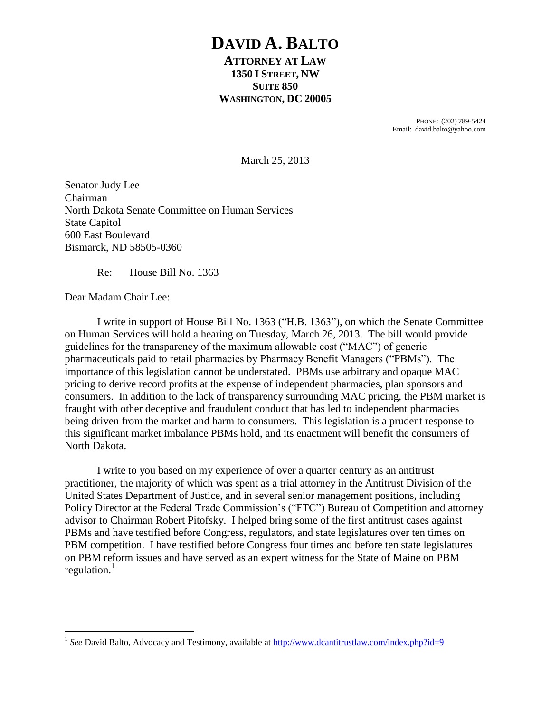# **DAVID A. BALTO**

## **ATTORNEY AT LAW 1350 I STREET, NW SUITE 850 WASHINGTON, DC 20005**

PHONE: (202) 789-5424 Email: david.balto@yahoo.com

March 25, 2013

Senator Judy Lee Chairman North Dakota Senate Committee on Human Services State Capitol 600 East Boulevard Bismarck, ND 58505-0360

Re: House Bill No. 1363

Dear Madam Chair Lee:

 $\overline{a}$ 

I write in support of House Bill No. 1363 ("H.B. 1363"), on which the Senate Committee on Human Services will hold a hearing on Tuesday, March 26, 2013. The bill would provide guidelines for the transparency of the maximum allowable cost ("MAC") of generic pharmaceuticals paid to retail pharmacies by Pharmacy Benefit Managers ("PBMs"). The importance of this legislation cannot be understated. PBMs use arbitrary and opaque MAC pricing to derive record profits at the expense of independent pharmacies, plan sponsors and consumers. In addition to the lack of transparency surrounding MAC pricing, the PBM market is fraught with other deceptive and fraudulent conduct that has led to independent pharmacies being driven from the market and harm to consumers. This legislation is a prudent response to this significant market imbalance PBMs hold, and its enactment will benefit the consumers of North Dakota.

I write to you based on my experience of over a quarter century as an antitrust practitioner, the majority of which was spent as a trial attorney in the Antitrust Division of the United States Department of Justice, and in several senior management positions, including Policy Director at the Federal Trade Commission's ("FTC") Bureau of Competition and attorney advisor to Chairman Robert Pitofsky. I helped bring some of the first antitrust cases against PBMs and have testified before Congress, regulators, and state legislatures over ten times on PBM competition. I have testified before Congress four times and before ten state legislatures on PBM reform issues and have served as an expert witness for the State of Maine on PBM regulation. $<sup>1</sup>$ </sup>

<sup>&</sup>lt;sup>1</sup> See David Balto, Advocacy and Testimony, available at<http://www.dcantitrustlaw.com/index.php?id=9>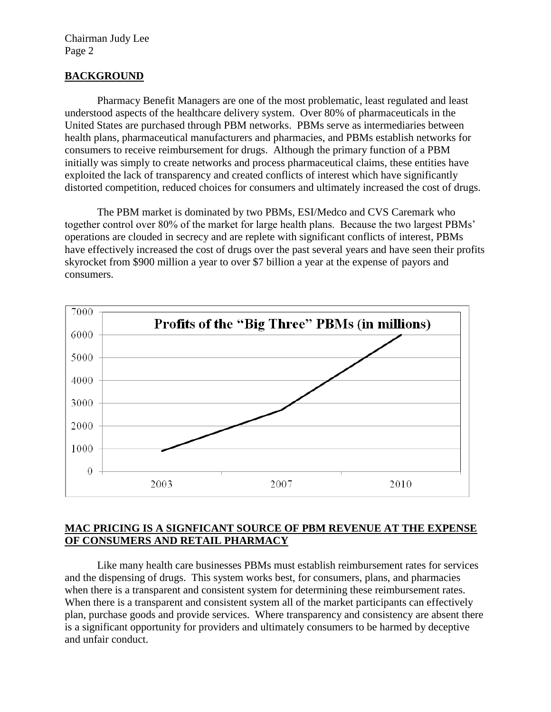Chairman Judy Lee Page 2

### **BACKGROUND**

Pharmacy Benefit Managers are one of the most problematic, least regulated and least understood aspects of the healthcare delivery system. Over 80% of pharmaceuticals in the United States are purchased through PBM networks. PBMs serve as intermediaries between health plans, pharmaceutical manufacturers and pharmacies, and PBMs establish networks for consumers to receive reimbursement for drugs. Although the primary function of a PBM initially was simply to create networks and process pharmaceutical claims, these entities have exploited the lack of transparency and created conflicts of interest which have significantly distorted competition, reduced choices for consumers and ultimately increased the cost of drugs.

The PBM market is dominated by two PBMs, ESI/Medco and CVS Caremark who together control over 80% of the market for large health plans. Because the two largest PBMs' operations are clouded in secrecy and are replete with significant conflicts of interest, PBMs have effectively increased the cost of drugs over the past several years and have seen their profits skyrocket from \$900 million a year to over \$7 billion a year at the expense of payors and consumers.



### **MAC PRICING IS A SIGNFICANT SOURCE OF PBM REVENUE AT THE EXPENSE OF CONSUMERS AND RETAIL PHARMACY**

Like many health care businesses PBMs must establish reimbursement rates for services and the dispensing of drugs. This system works best, for consumers, plans, and pharmacies when there is a transparent and consistent system for determining these reimbursement rates. When there is a transparent and consistent system all of the market participants can effectively plan, purchase goods and provide services. Where transparency and consistency are absent there is a significant opportunity for providers and ultimately consumers to be harmed by deceptive and unfair conduct.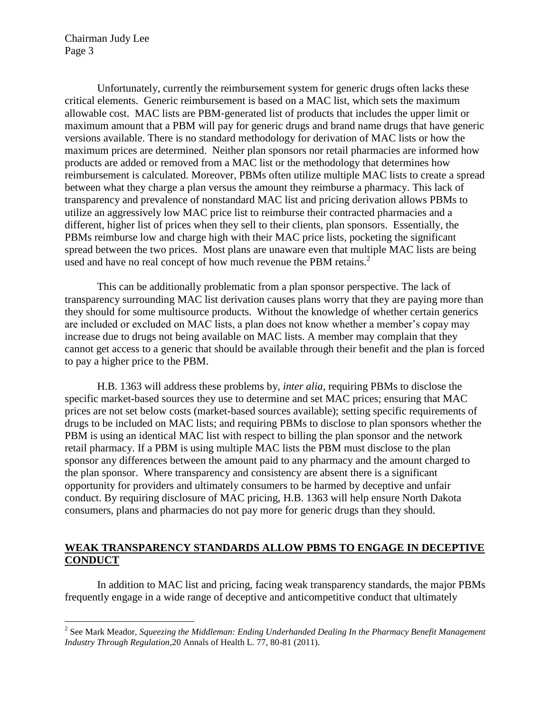Chairman Judy Lee Page 3

 $\overline{a}$ 

Unfortunately, currently the reimbursement system for generic drugs often lacks these critical elements. Generic reimbursement is based on a MAC list, which sets the maximum allowable cost. MAC lists are PBM‐generated list of products that includes the upper limit or maximum amount that a PBM will pay for generic drugs and brand name drugs that have generic versions available. There is no standard methodology for derivation of MAC lists or how the maximum prices are determined. Neither plan sponsors nor retail pharmacies are informed how products are added or removed from a MAC list or the methodology that determines how reimbursement is calculated. Moreover, PBMs often utilize multiple MAC lists to create a spread between what they charge a plan versus the amount they reimburse a pharmacy. This lack of transparency and prevalence of nonstandard MAC list and pricing derivation allows PBMs to utilize an aggressively low MAC price list to reimburse their contracted pharmacies and a different, higher list of prices when they sell to their clients, plan sponsors. Essentially, the PBMs reimburse low and charge high with their MAC price lists, pocketing the significant spread between the two prices. Most plans are unaware even that multiple MAC lists are being used and have no real concept of how much revenue the PBM retains.<sup>2</sup>

This can be additionally problematic from a plan sponsor perspective. The lack of transparency surrounding MAC list derivation causes plans worry that they are paying more than they should for some multisource products. Without the knowledge of whether certain generics are included or excluded on MAC lists, a plan does not know whether a member's copay may increase due to drugs not being available on MAC lists. A member may complain that they cannot get access to a generic that should be available through their benefit and the plan is forced to pay a higher price to the PBM.

H.B. 1363 will address these problems by, *inter alia*, requiring PBMs to disclose the specific market-based sources they use to determine and set MAC prices; ensuring that MAC prices are not set below costs (market-based sources available); setting specific requirements of drugs to be included on MAC lists; and requiring PBMs to disclose to plan sponsors whether the PBM is using an identical MAC list with respect to billing the plan sponsor and the network retail pharmacy. If a PBM is using multiple MAC lists the PBM must disclose to the plan sponsor any differences between the amount paid to any pharmacy and the amount charged to the plan sponsor. Where transparency and consistency are absent there is a significant opportunity for providers and ultimately consumers to be harmed by deceptive and unfair conduct. By requiring disclosure of MAC pricing, H.B. 1363 will help ensure North Dakota consumers, plans and pharmacies do not pay more for generic drugs than they should.

#### **WEAK TRANSPARENCY STANDARDS ALLOW PBMS TO ENGAGE IN DECEPTIVE CONDUCT**

In addition to MAC list and pricing, facing weak transparency standards, the major PBMs frequently engage in a wide range of deceptive and anticompetitive conduct that ultimately

<sup>&</sup>lt;sup>2</sup> See Mark Meador, *Squeezing the Middleman: Ending Underhanded Dealing In the Pharmacy Benefit Management Industry Through Regulation*,20 Annals of Health L. 77, 80-81 (2011).